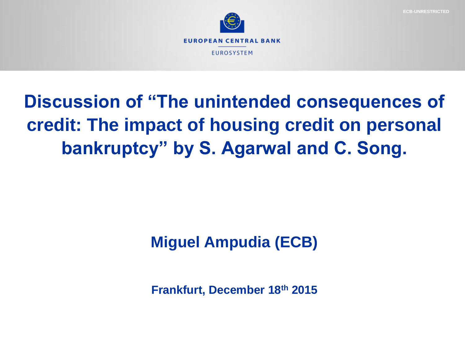



# **Discussion of "The unintended consequences of credit: The impact of housing credit on personal bankruptcy" by S. Agarwal and C. Song.**

## **Miguel Ampudia (ECB)**

**Frankfurt, December 18th 2015**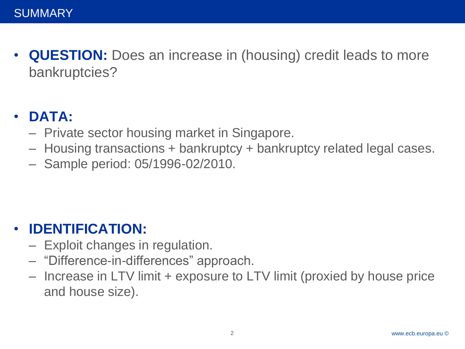• **QUESTION:** Does an increase in (housing) credit leads to more bankruptcies?

### • **DATA:**

- Private sector housing market in Singapore.
- Housing transactions + bankruptcy + bankruptcy related legal cases.
- Sample period: 05/1996-02/2010.

#### • **IDENTIFICATION:**

- Exploit changes in regulation.
- "Difference-in-differences" approach.
- Increase in LTV limit + exposure to LTV limit (proxied by house price and house size).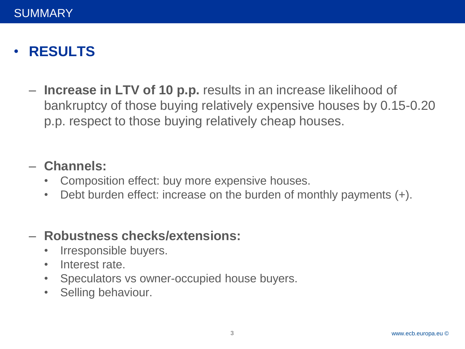### • **RESULTS**

– **Increase in LTV of 10 p.p.** results in an increase likelihood of bankruptcy of those buying relatively expensive houses by 0.15-0.20 p.p. respect to those buying relatively cheap houses.

#### – **Channels:**

- Composition effect: buy more expensive houses.
- Debt burden effect: increase on the burden of monthly payments (+).

#### – **Robustness checks/extensions:**

- Irresponsible buyers.
- Interest rate.
- Speculators vs owner-occupied house buyers.
- Selling behaviour.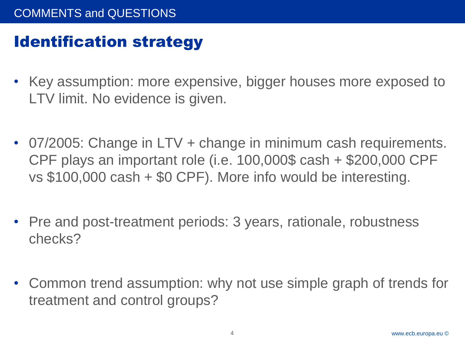### Identification strategy

- Key assumption: more expensive, bigger houses more exposed to LTV limit. No evidence is given.
- 07/2005: Change in LTV + change in minimum cash requirements. CPF plays an important role (i.e. 100,000\$ cash + \$200,000 CPF vs \$100,000 cash + \$0 CPF). More info would be interesting.
- Pre and post-treatment periods: 3 years, rationale, robustness checks?
- Common trend assumption: why not use simple graph of trends for treatment and control groups?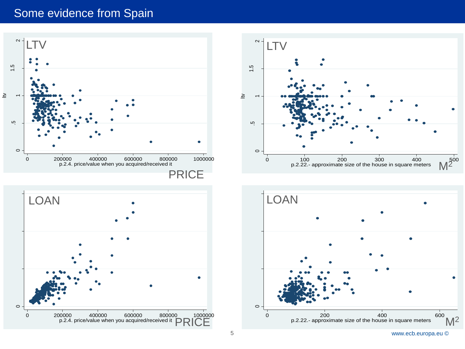#### Some evidence from Spain







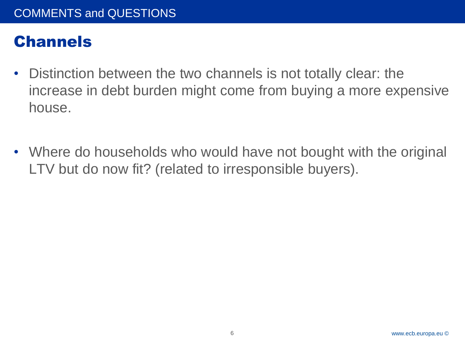### **Channels**

- Distinction between the two channels is not totally clear: the increase in debt burden might come from buying a more expensive house.
- Where do households who would have not bought with the original LTV but do now fit? (related to irresponsible buyers).